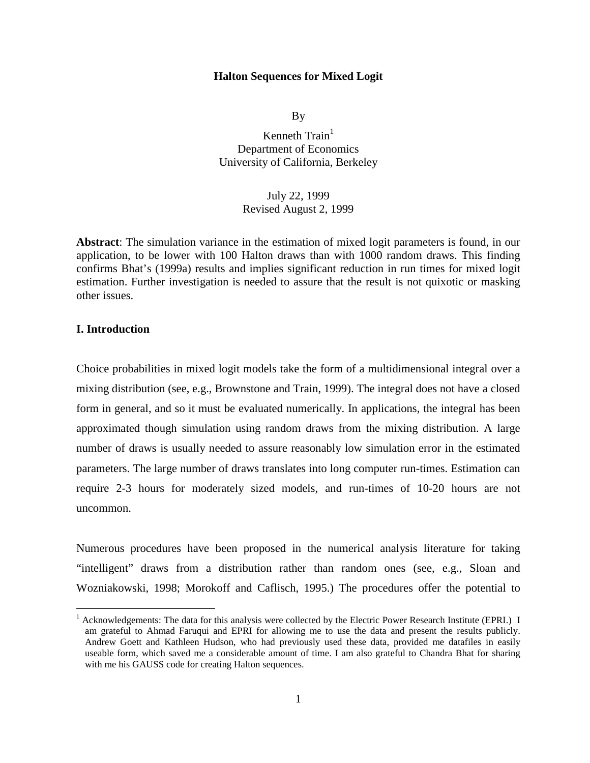#### **Halton Sequences for Mixed Logit**

By

Kenneth  $Train<sup>1</sup>$ Department of Economics University of California, Berkeley

> July 22, 1999 Revised August 2, 1999

**Abstract**: The simulation variance in the estimation of mixed logit parameters is found, in our application, to be lower with 100 Halton draws than with 1000 random draws. This finding confirms Bhat's (1999a) results and implies significant reduction in run times for mixed logit estimation. Further investigation is needed to assure that the result is not quixotic or masking other issues.

### **I. Introduction**

 $\overline{a}$ 

Choice probabilities in mixed logit models take the form of a multidimensional integral over a mixing distribution (see, e.g., Brownstone and Train, 1999). The integral does not have a closed form in general, and so it must be evaluated numerically. In applications, the integral has been approximated though simulation using random draws from the mixing distribution. A large number of draws is usually needed to assure reasonably low simulation error in the estimated parameters. The large number of draws translates into long computer run-times. Estimation can require 2-3 hours for moderately sized models, and run-times of 10-20 hours are not uncommon.

Numerous procedures have been proposed in the numerical analysis literature for taking "intelligent" draws from a distribution rather than random ones (see, e.g., Sloan and Wozniakowski, 1998; Morokoff and Caflisch, 1995.) The procedures offer the potential to

<sup>1</sup> Acknowledgements: The data for this analysis were collected by the Electric Power Research Institute (EPRI.) I am grateful to Ahmad Faruqui and EPRI for allowing me to use the data and present the results publicly. Andrew Goett and Kathleen Hudson, who had previously used these data, provided me datafiles in easily useable form, which saved me a considerable amount of time. I am also grateful to Chandra Bhat for sharing with me his GAUSS code for creating Halton sequences.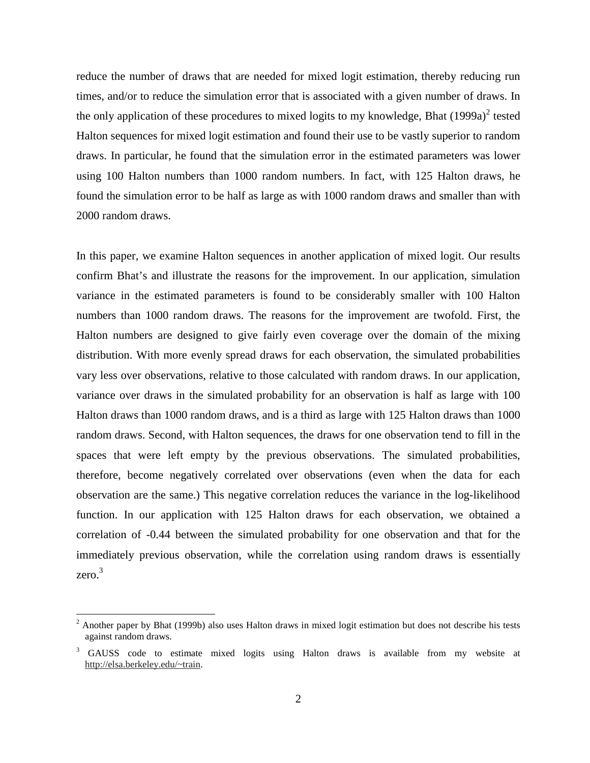reduce the number of draws that are needed for mixed logit estimation, thereby reducing run times, and/or to reduce the simulation error that is associated with a given number of draws. In the only application of these procedures to mixed logits to my knowledge, Bhat  $(1999a)^2$  tested Halton sequences for mixed logit estimation and found their use to be vastly superior to random draws. In particular, he found that the simulation error in the estimated parameters was lower using 100 Halton numbers than 1000 random numbers. In fact, with 125 Halton draws, he found the simulation error to be half as large as with 1000 random draws and smaller than with 2000 random draws.

In this paper, we examine Halton sequences in another application of mixed logit. Our results confirm Bhat's and illustrate the reasons for the improvement. In our application, simulation variance in the estimated parameters is found to be considerably smaller with 100 Halton numbers than 1000 random draws. The reasons for the improvement are twofold. First, the Halton numbers are designed to give fairly even coverage over the domain of the mixing distribution. With more evenly spread draws for each observation, the simulated probabilities vary less over observations, relative to those calculated with random draws. In our application, variance over draws in the simulated probability for an observation is half as large with 100 Halton draws than 1000 random draws, and is a third as large with 125 Halton draws than 1000 random draws. Second, with Halton sequences, the draws for one observation tend to fill in the spaces that were left empty by the previous observations. The simulated probabilities, therefore, become negatively correlated over observations (even when the data for each observation are the same.) This negative correlation reduces the variance in the log-likelihood function. In our application with 125 Halton draws for each observation, we obtained a correlation of -0.44 between the simulated probability for one observation and that for the immediately previous observation, while the correlation using random draws is essentially zero.<sup>3</sup>

 $2$  Another paper by Bhat (1999b) also uses Halton draws in mixed logit estimation but does not describe his tests against random draws.

<sup>3</sup> GAUSS code to estimate mixed logits using Halton draws is available from my website at http://elsa.berkeley.edu/~train.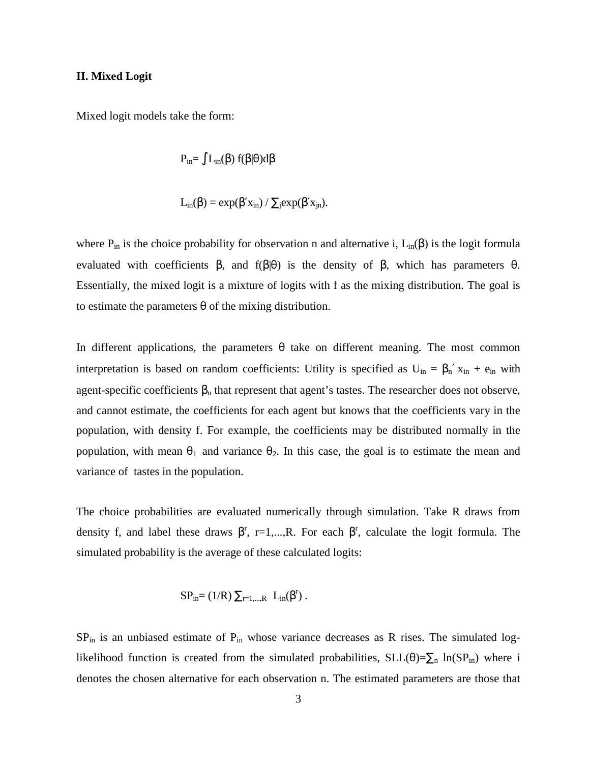#### **II. Mixed Logit**

Mixed logit models take the form:

$$
P_{in} = \int L_{in}(\beta) f(\beta|\theta)d\beta
$$

$$
L_{in}(\beta) = \exp(\beta' x_{in}) / \sum_j \exp(\beta' x_{jn}).
$$

where  $P_{in}$  is the choice probability for observation n and alternative i,  $L_{in}(\beta)$  is the logit formula evaluated with coefficients  $\beta$ , and  $f(\beta|\theta)$  is the density of  $\beta$ , which has parameters  $\theta$ . Essentially, the mixed logit is a mixture of logits with f as the mixing distribution. The goal is to estimate the parameters  $\theta$  of the mixing distribution.

In different applications, the parameters  $\theta$  take on different meaning. The most common interpretation is based on random coefficients: Utility is specified as  $U_{in} = \beta_n' x_{in} + e_{in}$  with agent-specific coefficients  $\beta_n$  that represent that agent's tastes. The researcher does not observe, and cannot estimate, the coefficients for each agent but knows that the coefficients vary in the population, with density f. For example, the coefficients may be distributed normally in the population, with mean  $\theta_1$  and variance  $\theta_2$ . In this case, the goal is to estimate the mean and variance of tastes in the population.

The choice probabilities are evaluated numerically through simulation. Take R draws from density f, and label these draws  $\beta^r$ , r=1,...,R. For each  $\beta^r$ , calculate the logit formula. The simulated probability is the average of these calculated logits:

$$
SP_{in} = (1/R) \sum_{r=1,\dots,R} L_{in}(\beta^r).
$$

SP<sub>in</sub> is an unbiased estimate of P<sub>in</sub> whose variance decreases as R rises. The simulated loglikelihood function is created from the simulated probabilities,  $SLL(\theta)=\sum_{n} ln(SP_{in})$  where i denotes the chosen alternative for each observation n. The estimated parameters are those that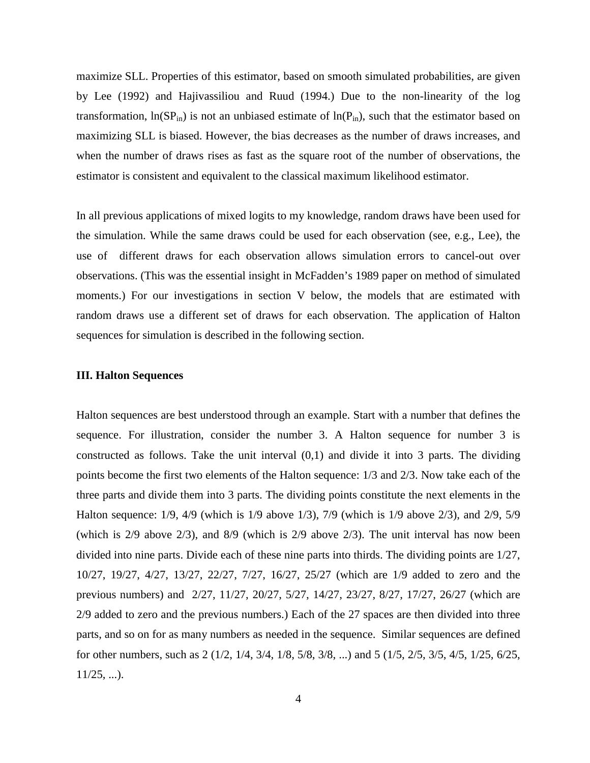maximize SLL. Properties of this estimator, based on smooth simulated probabilities, are given by Lee (1992) and Hajivassiliou and Ruud (1994.) Due to the non-linearity of the log transformation,  $ln(SP_{in})$  is not an unbiased estimate of  $ln(P_{in})$ , such that the estimator based on maximizing SLL is biased. However, the bias decreases as the number of draws increases, and when the number of draws rises as fast as the square root of the number of observations, the estimator is consistent and equivalent to the classical maximum likelihood estimator.

In all previous applications of mixed logits to my knowledge, random draws have been used for the simulation. While the same draws could be used for each observation (see, e.g., Lee), the use of different draws for each observation allows simulation errors to cancel-out over observations. (This was the essential insight in McFadden's 1989 paper on method of simulated moments.) For our investigations in section V below, the models that are estimated with random draws use a different set of draws for each observation. The application of Halton sequences for simulation is described in the following section.

### **III. Halton Sequences**

Halton sequences are best understood through an example. Start with a number that defines the sequence. For illustration, consider the number 3. A Halton sequence for number 3 is constructed as follows. Take the unit interval  $(0,1)$  and divide it into 3 parts. The dividing points become the first two elements of the Halton sequence: 1/3 and 2/3. Now take each of the three parts and divide them into 3 parts. The dividing points constitute the next elements in the Halton sequence: 1/9, 4/9 (which is 1/9 above 1/3), 7/9 (which is 1/9 above 2/3), and 2/9, 5/9 (which is 2/9 above 2/3), and 8/9 (which is 2/9 above 2/3). The unit interval has now been divided into nine parts. Divide each of these nine parts into thirds. The dividing points are 1/27, 10/27, 19/27, 4/27, 13/27, 22/27, 7/27, 16/27, 25/27 (which are 1/9 added to zero and the previous numbers) and 2/27, 11/27, 20/27, 5/27, 14/27, 23/27, 8/27, 17/27, 26/27 (which are 2/9 added to zero and the previous numbers.) Each of the 27 spaces are then divided into three parts, and so on for as many numbers as needed in the sequence. Similar sequences are defined for other numbers, such as 2 (1/2, 1/4, 3/4, 1/8, 5/8, 3/8, ...) and 5 (1/5, 2/5, 3/5, 4/5, 1/25, 6/25,  $11/25, \ldots$ ).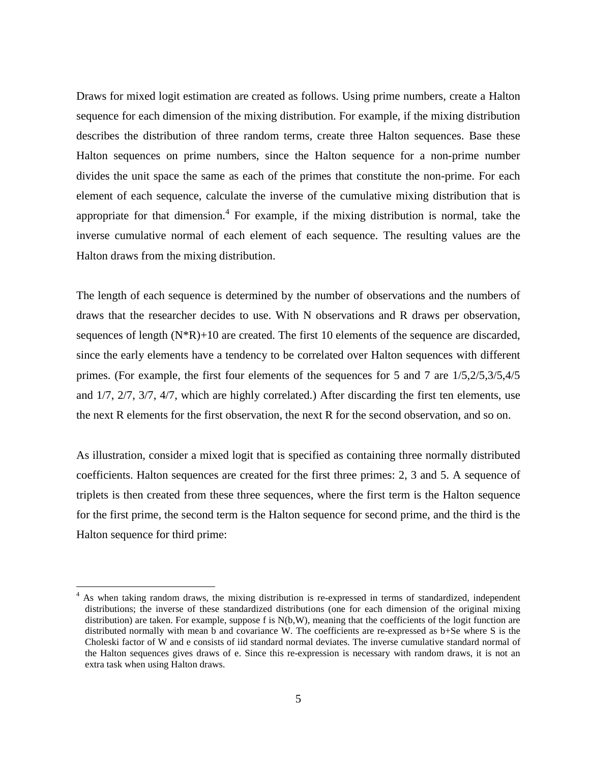Draws for mixed logit estimation are created as follows. Using prime numbers, create a Halton sequence for each dimension of the mixing distribution. For example, if the mixing distribution describes the distribution of three random terms, create three Halton sequences. Base these Halton sequences on prime numbers, since the Halton sequence for a non-prime number divides the unit space the same as each of the primes that constitute the non-prime. For each element of each sequence, calculate the inverse of the cumulative mixing distribution that is appropriate for that dimension. $4$  For example, if the mixing distribution is normal, take the inverse cumulative normal of each element of each sequence. The resulting values are the Halton draws from the mixing distribution.

The length of each sequence is determined by the number of observations and the numbers of draws that the researcher decides to use. With N observations and R draws per observation, sequences of length  $(N^*R)+10$  are created. The first 10 elements of the sequence are discarded, since the early elements have a tendency to be correlated over Halton sequences with different primes. (For example, the first four elements of the sequences for 5 and 7 are 1/5,2/5,3/5,4/5 and 1/7, 2/7, 3/7, 4/7, which are highly correlated.) After discarding the first ten elements, use the next R elements for the first observation, the next R for the second observation, and so on.

As illustration, consider a mixed logit that is specified as containing three normally distributed coefficients. Halton sequences are created for the first three primes: 2, 3 and 5. A sequence of triplets is then created from these three sequences, where the first term is the Halton sequence for the first prime, the second term is the Halton sequence for second prime, and the third is the Halton sequence for third prime:

<sup>4</sup> As when taking random draws, the mixing distribution is re-expressed in terms of standardized, independent distributions; the inverse of these standardized distributions (one for each dimension of the original mixing distribution) are taken. For example, suppose f is N(b,W), meaning that the coefficients of the logit function are distributed normally with mean b and covariance W. The coefficients are re-expressed as b+Se where S is the Choleski factor of W and e consists of iid standard normal deviates. The inverse cumulative standard normal of the Halton sequences gives draws of e. Since this re-expression is necessary with random draws, it is not an extra task when using Halton draws.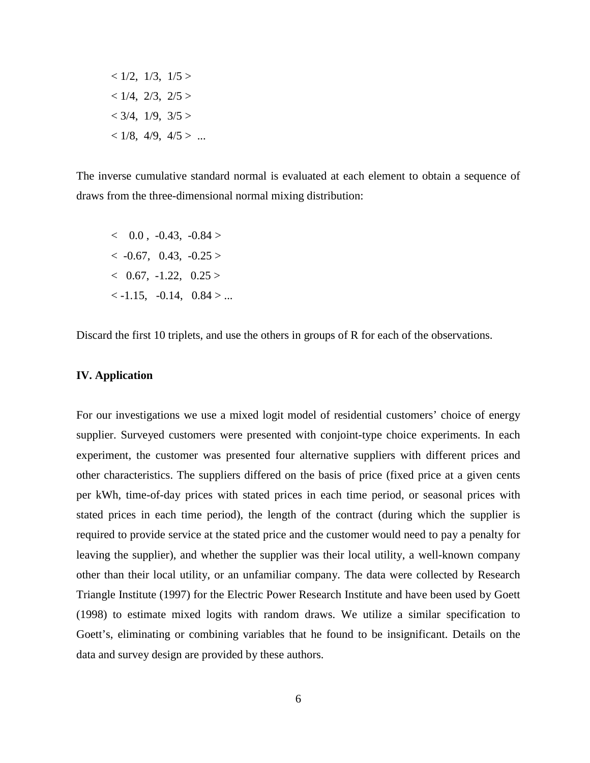$< 1/2, 1/3, 1/5 >$  $< 1/4$ ,  $2/3$ ,  $2/5 >$  $< 3/4, 1/9, 3/5 >$  $< 1/8, 4/9, 4/5 > ...$ 

The inverse cumulative standard normal is evaluated at each element to obtain a sequence of draws from the three-dimensional normal mixing distribution:

 $< 0.0$ ,  $-0.43$ ,  $-0.84$  $<-0.67$ , 0.43,  $-0.25>$  $< 0.67, -1.22, 0.25 >$  $\langle$  -1.15, -0.14, 0.84  $>$  ...

Discard the first 10 triplets, and use the others in groups of R for each of the observations.

### **IV. Application**

For our investigations we use a mixed logit model of residential customers' choice of energy supplier. Surveyed customers were presented with conjoint-type choice experiments. In each experiment, the customer was presented four alternative suppliers with different prices and other characteristics. The suppliers differed on the basis of price (fixed price at a given cents per kWh, time-of-day prices with stated prices in each time period, or seasonal prices with stated prices in each time period), the length of the contract (during which the supplier is required to provide service at the stated price and the customer would need to pay a penalty for leaving the supplier), and whether the supplier was their local utility, a well-known company other than their local utility, or an unfamiliar company. The data were collected by Research Triangle Institute (1997) for the Electric Power Research Institute and have been used by Goett (1998) to estimate mixed logits with random draws. We utilize a similar specification to Goett's, eliminating or combining variables that he found to be insignificant. Details on the data and survey design are provided by these authors.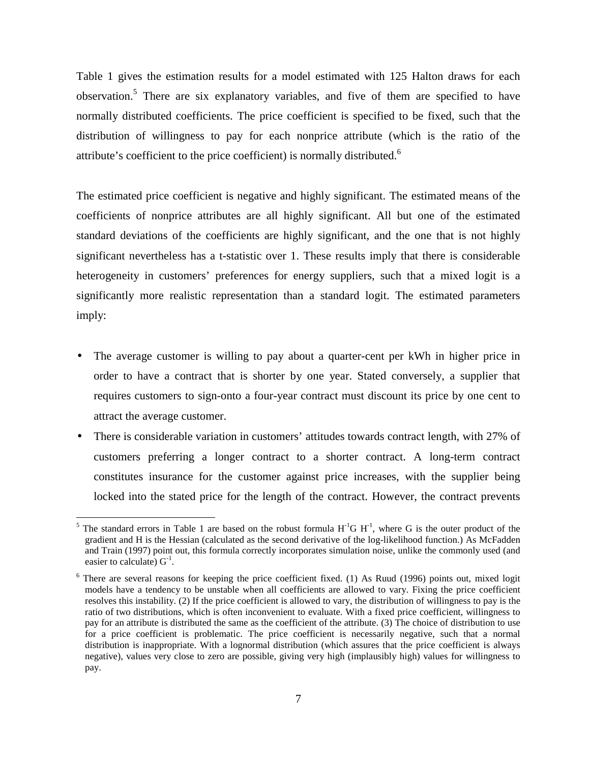Table 1 gives the estimation results for a model estimated with 125 Halton draws for each observation.<sup>5</sup> There are six explanatory variables, and five of them are specified to have normally distributed coefficients. The price coefficient is specified to be fixed, such that the distribution of willingness to pay for each nonprice attribute (which is the ratio of the attribute's coefficient to the price coefficient) is normally distributed.<sup>6</sup>

The estimated price coefficient is negative and highly significant. The estimated means of the coefficients of nonprice attributes are all highly significant. All but one of the estimated standard deviations of the coefficients are highly significant, and the one that is not highly significant nevertheless has a t-statistic over 1. These results imply that there is considerable heterogeneity in customers' preferences for energy suppliers, such that a mixed logit is a significantly more realistic representation than a standard logit. The estimated parameters imply:

- The average customer is willing to pay about a quarter-cent per kWh in higher price in order to have a contract that is shorter by one year. Stated conversely, a supplier that requires customers to sign-onto a four-year contract must discount its price by one cent to attract the average customer.
- There is considerable variation in customers' attitudes towards contract length, with 27% of customers preferring a longer contract to a shorter contract. A long-term contract constitutes insurance for the customer against price increases, with the supplier being locked into the stated price for the length of the contract. However, the contract prevents

<sup>5</sup> The standard errors in Table 1 are based on the robust formula  $H<sup>-1</sup>G H<sup>-1</sup>$ , where G is the outer product of the gradient and H is the Hessian (calculated as the second derivative of the log-likelihood function.) As McFadden and Train (1997) point out, this formula correctly incorporates simulation noise, unlike the commonly used (and easier to calculate)  $G^{-1}$ .

<sup>&</sup>lt;sup>6</sup> There are several reasons for keeping the price coefficient fixed. (1) As Ruud (1996) points out, mixed logit models have a tendency to be unstable when all coefficients are allowed to vary. Fixing the price coefficient resolves this instability. (2) If the price coefficient is allowed to vary, the distribution of willingness to pay is the ratio of two distributions, which is often inconvenient to evaluate. With a fixed price coefficient, willingness to pay for an attribute is distributed the same as the coefficient of the attribute. (3) The choice of distribution to use for a price coefficient is problematic. The price coefficient is necessarily negative, such that a normal distribution is inappropriate. With a lognormal distribution (which assures that the price coefficient is always negative), values very close to zero are possible, giving very high (implausibly high) values for willingness to pay.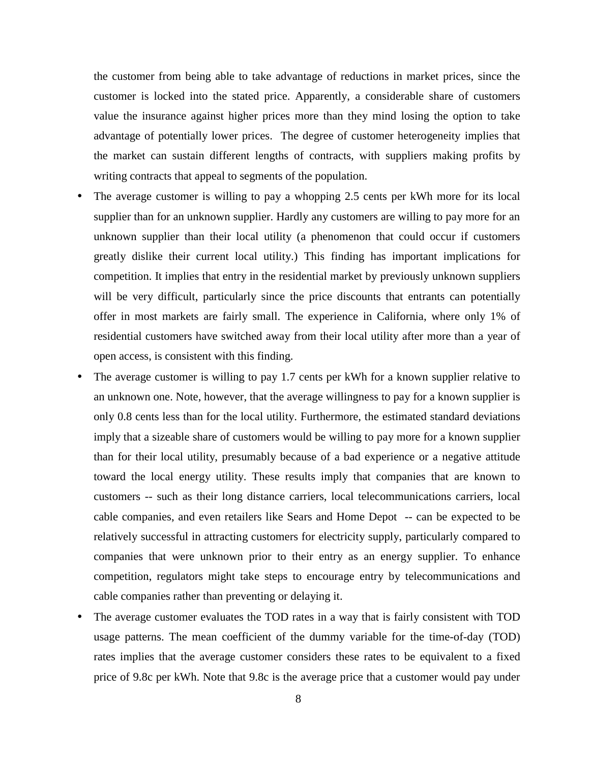the customer from being able to take advantage of reductions in market prices, since the customer is locked into the stated price. Apparently, a considerable share of customers value the insurance against higher prices more than they mind losing the option to take advantage of potentially lower prices. The degree of customer heterogeneity implies that the market can sustain different lengths of contracts, with suppliers making profits by writing contracts that appeal to segments of the population.

- The average customer is willing to pay a whopping 2.5 cents per kWh more for its local supplier than for an unknown supplier. Hardly any customers are willing to pay more for an unknown supplier than their local utility (a phenomenon that could occur if customers greatly dislike their current local utility.) This finding has important implications for competition. It implies that entry in the residential market by previously unknown suppliers will be very difficult, particularly since the price discounts that entrants can potentially offer in most markets are fairly small. The experience in California, where only 1% of residential customers have switched away from their local utility after more than a year of open access, is consistent with this finding.
- The average customer is willing to pay 1.7 cents per kWh for a known supplier relative to an unknown one. Note, however, that the average willingness to pay for a known supplier is only 0.8 cents less than for the local utility. Furthermore, the estimated standard deviations imply that a sizeable share of customers would be willing to pay more for a known supplier than for their local utility, presumably because of a bad experience or a negative attitude toward the local energy utility. These results imply that companies that are known to customers -- such as their long distance carriers, local telecommunications carriers, local cable companies, and even retailers like Sears and Home Depot -- can be expected to be relatively successful in attracting customers for electricity supply, particularly compared to companies that were unknown prior to their entry as an energy supplier. To enhance competition, regulators might take steps to encourage entry by telecommunications and cable companies rather than preventing or delaying it.
- The average customer evaluates the TOD rates in a way that is fairly consistent with TOD usage patterns. The mean coefficient of the dummy variable for the time-of-day (TOD) rates implies that the average customer considers these rates to be equivalent to a fixed price of 9.8c per kWh. Note that 9.8c is the average price that a customer would pay under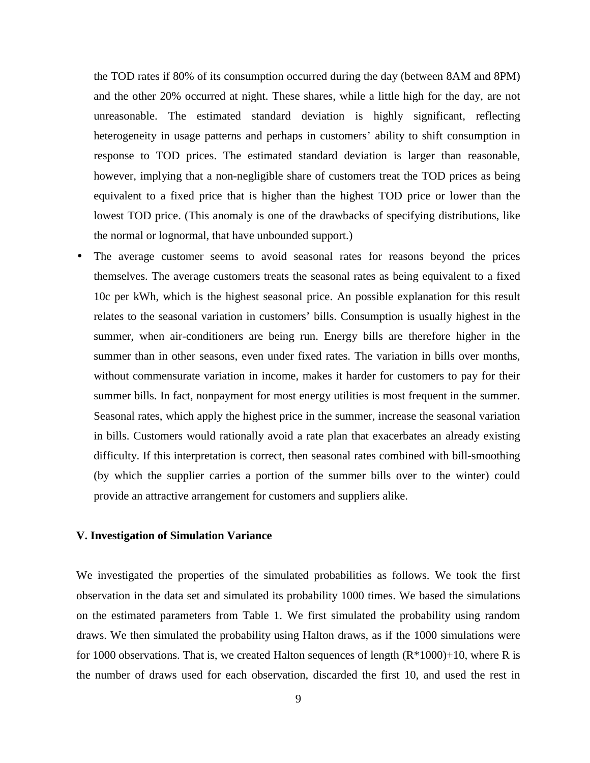the TOD rates if 80% of its consumption occurred during the day (between 8AM and 8PM) and the other 20% occurred at night. These shares, while a little high for the day, are not unreasonable. The estimated standard deviation is highly significant, reflecting heterogeneity in usage patterns and perhaps in customers' ability to shift consumption in response to TOD prices. The estimated standard deviation is larger than reasonable, however, implying that a non-negligible share of customers treat the TOD prices as being equivalent to a fixed price that is higher than the highest TOD price or lower than the lowest TOD price. (This anomaly is one of the drawbacks of specifying distributions, like the normal or lognormal, that have unbounded support.)

• The average customer seems to avoid seasonal rates for reasons beyond the prices themselves. The average customers treats the seasonal rates as being equivalent to a fixed 10c per kWh, which is the highest seasonal price. An possible explanation for this result relates to the seasonal variation in customers' bills. Consumption is usually highest in the summer, when air-conditioners are being run. Energy bills are therefore higher in the summer than in other seasons, even under fixed rates. The variation in bills over months, without commensurate variation in income, makes it harder for customers to pay for their summer bills. In fact, nonpayment for most energy utilities is most frequent in the summer. Seasonal rates, which apply the highest price in the summer, increase the seasonal variation in bills. Customers would rationally avoid a rate plan that exacerbates an already existing difficulty. If this interpretation is correct, then seasonal rates combined with bill-smoothing (by which the supplier carries a portion of the summer bills over to the winter) could provide an attractive arrangement for customers and suppliers alike.

## **V. Investigation of Simulation Variance**

We investigated the properties of the simulated probabilities as follows. We took the first observation in the data set and simulated its probability 1000 times. We based the simulations on the estimated parameters from Table 1. We first simulated the probability using random draws. We then simulated the probability using Halton draws, as if the 1000 simulations were for 1000 observations. That is, we created Halton sequences of length  $(R*1000)+10$ , where R is the number of draws used for each observation, discarded the first 10, and used the rest in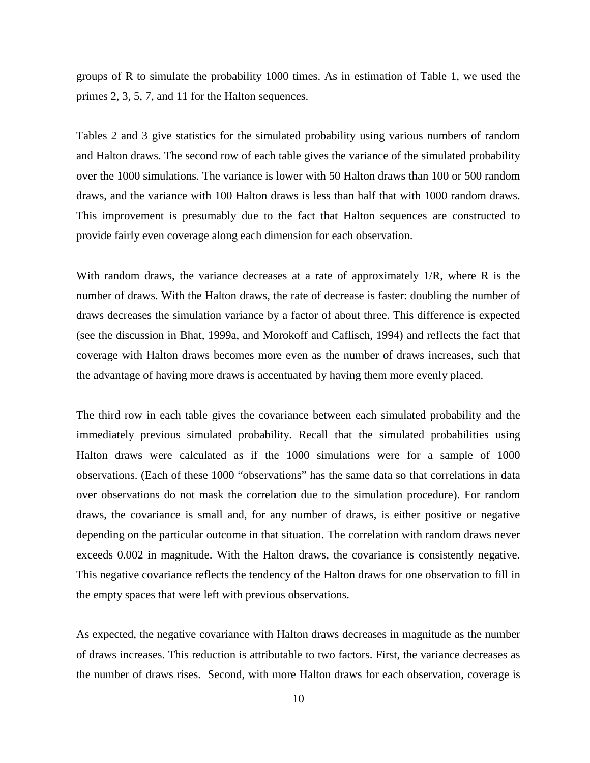groups of R to simulate the probability 1000 times. As in estimation of Table 1, we used the primes 2, 3, 5, 7, and 11 for the Halton sequences.

Tables 2 and 3 give statistics for the simulated probability using various numbers of random and Halton draws. The second row of each table gives the variance of the simulated probability over the 1000 simulations. The variance is lower with 50 Halton draws than 100 or 500 random draws, and the variance with 100 Halton draws is less than half that with 1000 random draws. This improvement is presumably due to the fact that Halton sequences are constructed to provide fairly even coverage along each dimension for each observation.

With random draws, the variance decreases at a rate of approximately 1/R, where R is the number of draws. With the Halton draws, the rate of decrease is faster: doubling the number of draws decreases the simulation variance by a factor of about three. This difference is expected (see the discussion in Bhat, 1999a, and Morokoff and Caflisch, 1994) and reflects the fact that coverage with Halton draws becomes more even as the number of draws increases, such that the advantage of having more draws is accentuated by having them more evenly placed.

The third row in each table gives the covariance between each simulated probability and the immediately previous simulated probability. Recall that the simulated probabilities using Halton draws were calculated as if the 1000 simulations were for a sample of 1000 observations. (Each of these 1000 "observations" has the same data so that correlations in data over observations do not mask the correlation due to the simulation procedure). For random draws, the covariance is small and, for any number of draws, is either positive or negative depending on the particular outcome in that situation. The correlation with random draws never exceeds 0.002 in magnitude. With the Halton draws, the covariance is consistently negative. This negative covariance reflects the tendency of the Halton draws for one observation to fill in the empty spaces that were left with previous observations.

As expected, the negative covariance with Halton draws decreases in magnitude as the number of draws increases. This reduction is attributable to two factors. First, the variance decreases as the number of draws rises. Second, with more Halton draws for each observation, coverage is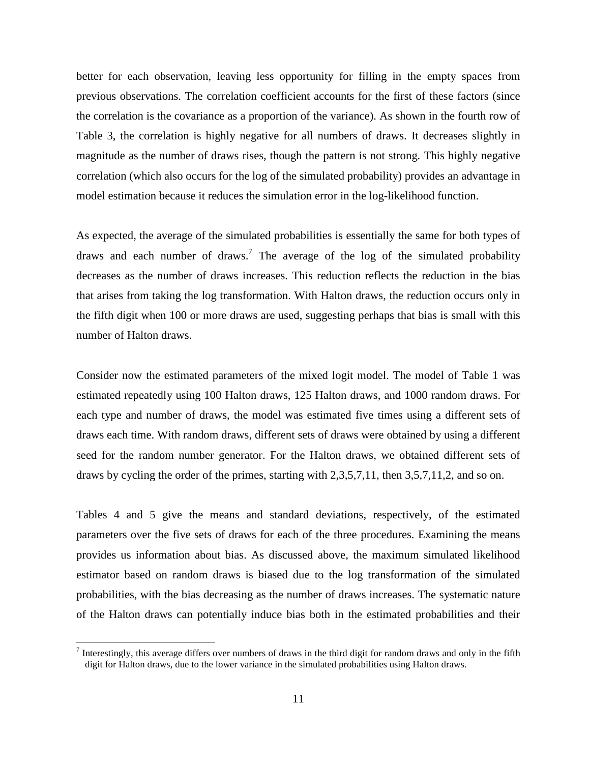better for each observation, leaving less opportunity for filling in the empty spaces from previous observations. The correlation coefficient accounts for the first of these factors (since the correlation is the covariance as a proportion of the variance). As shown in the fourth row of Table 3, the correlation is highly negative for all numbers of draws. It decreases slightly in magnitude as the number of draws rises, though the pattern is not strong. This highly negative correlation (which also occurs for the log of the simulated probability) provides an advantage in model estimation because it reduces the simulation error in the log-likelihood function.

As expected, the average of the simulated probabilities is essentially the same for both types of draws and each number of draws.<sup>7</sup> The average of the log of the simulated probability decreases as the number of draws increases. This reduction reflects the reduction in the bias that arises from taking the log transformation. With Halton draws, the reduction occurs only in the fifth digit when 100 or more draws are used, suggesting perhaps that bias is small with this number of Halton draws.

Consider now the estimated parameters of the mixed logit model. The model of Table 1 was estimated repeatedly using 100 Halton draws, 125 Halton draws, and 1000 random draws. For each type and number of draws, the model was estimated five times using a different sets of draws each time. With random draws, different sets of draws were obtained by using a different seed for the random number generator. For the Halton draws, we obtained different sets of draws by cycling the order of the primes, starting with 2,3,5,7,11, then 3,5,7,11,2, and so on.

Tables 4 and 5 give the means and standard deviations, respectively, of the estimated parameters over the five sets of draws for each of the three procedures. Examining the means provides us information about bias. As discussed above, the maximum simulated likelihood estimator based on random draws is biased due to the log transformation of the simulated probabilities, with the bias decreasing as the number of draws increases. The systematic nature of the Halton draws can potentially induce bias both in the estimated probabilities and their

<sup>&</sup>lt;sup>7</sup> Interestingly, this average differs over numbers of draws in the third digit for random draws and only in the fifth digit for Halton draws, due to the lower variance in the simulated probabilities using Halton draws.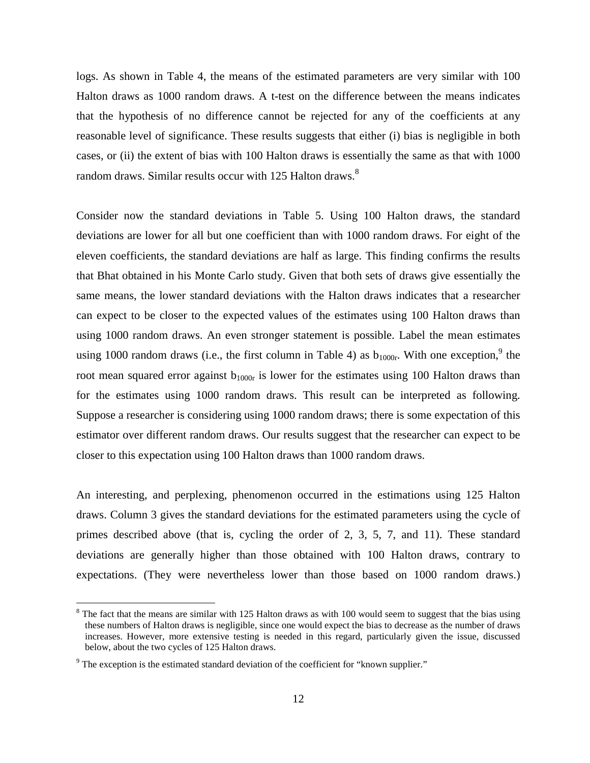logs. As shown in Table 4, the means of the estimated parameters are very similar with 100 Halton draws as 1000 random draws. A t-test on the difference between the means indicates that the hypothesis of no difference cannot be rejected for any of the coefficients at any reasonable level of significance. These results suggests that either (i) bias is negligible in both cases, or (ii) the extent of bias with 100 Halton draws is essentially the same as that with 1000 random draws. Similar results occur with 125 Halton draws.<sup>8</sup>

Consider now the standard deviations in Table 5. Using 100 Halton draws, the standard deviations are lower for all but one coefficient than with 1000 random draws. For eight of the eleven coefficients, the standard deviations are half as large. This finding confirms the results that Bhat obtained in his Monte Carlo study. Given that both sets of draws give essentially the same means, the lower standard deviations with the Halton draws indicates that a researcher can expect to be closer to the expected values of the estimates using 100 Halton draws than using 1000 random draws. An even stronger statement is possible. Label the mean estimates using 1000 random draws (i.e., the first column in Table 4) as  $b_{1000r}$ . With one exception,  $9$  the root mean squared error against  $b_{1000r}$  is lower for the estimates using 100 Halton draws than for the estimates using 1000 random draws. This result can be interpreted as following. Suppose a researcher is considering using 1000 random draws; there is some expectation of this estimator over different random draws. Our results suggest that the researcher can expect to be closer to this expectation using 100 Halton draws than 1000 random draws.

An interesting, and perplexing, phenomenon occurred in the estimations using 125 Halton draws. Column 3 gives the standard deviations for the estimated parameters using the cycle of primes described above (that is, cycling the order of 2, 3, 5, 7, and 11). These standard deviations are generally higher than those obtained with 100 Halton draws, contrary to expectations. (They were nevertheless lower than those based on 1000 random draws.)

 $8$  The fact that the means are similar with 125 Halton draws as with 100 would seem to suggest that the bias using these numbers of Halton draws is negligible, since one would expect the bias to decrease as the number of draws increases. However, more extensive testing is needed in this regard, particularly given the issue, discussed below, about the two cycles of 125 Halton draws.

 $9$  The exception is the estimated standard deviation of the coefficient for "known supplier."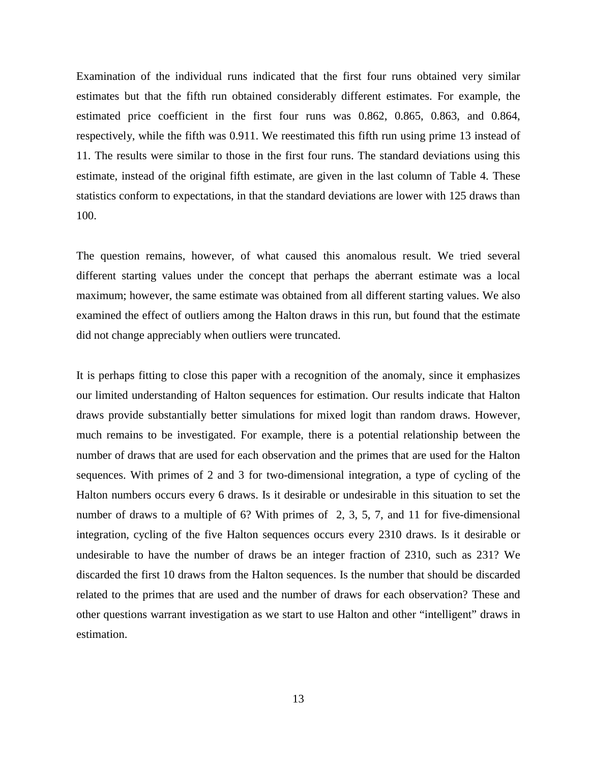Examination of the individual runs indicated that the first four runs obtained very similar estimates but that the fifth run obtained considerably different estimates. For example, the estimated price coefficient in the first four runs was 0.862, 0.865, 0.863, and 0.864, respectively, while the fifth was 0.911. We reestimated this fifth run using prime 13 instead of 11. The results were similar to those in the first four runs. The standard deviations using this estimate, instead of the original fifth estimate, are given in the last column of Table 4. These statistics conform to expectations, in that the standard deviations are lower with 125 draws than 100.

The question remains, however, of what caused this anomalous result. We tried several different starting values under the concept that perhaps the aberrant estimate was a local maximum; however, the same estimate was obtained from all different starting values. We also examined the effect of outliers among the Halton draws in this run, but found that the estimate did not change appreciably when outliers were truncated.

It is perhaps fitting to close this paper with a recognition of the anomaly, since it emphasizes our limited understanding of Halton sequences for estimation. Our results indicate that Halton draws provide substantially better simulations for mixed logit than random draws. However, much remains to be investigated. For example, there is a potential relationship between the number of draws that are used for each observation and the primes that are used for the Halton sequences. With primes of 2 and 3 for two-dimensional integration, a type of cycling of the Halton numbers occurs every 6 draws. Is it desirable or undesirable in this situation to set the number of draws to a multiple of 6? With primes of 2, 3, 5, 7, and 11 for five-dimensional integration, cycling of the five Halton sequences occurs every 2310 draws. Is it desirable or undesirable to have the number of draws be an integer fraction of 2310, such as 231? We discarded the first 10 draws from the Halton sequences. Is the number that should be discarded related to the primes that are used and the number of draws for each observation? These and other questions warrant investigation as we start to use Halton and other "intelligent" draws in estimation.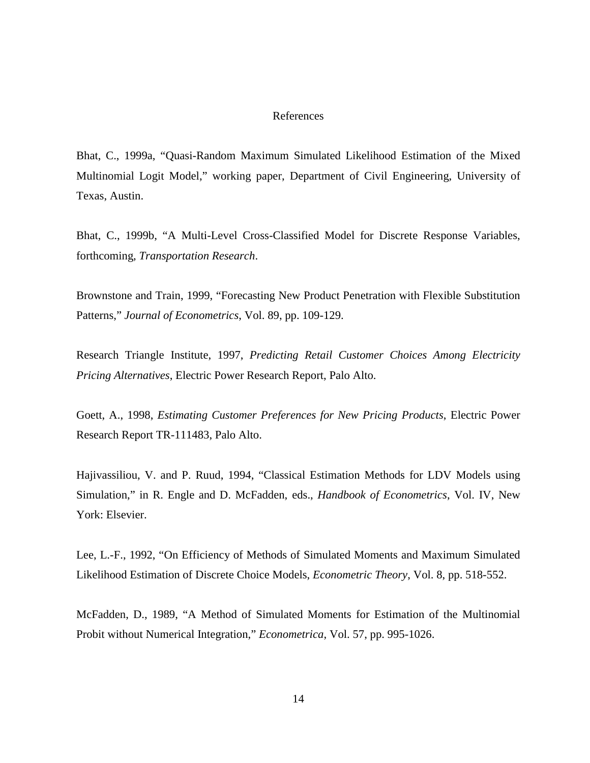## References

Bhat, C., 1999a, "Quasi-Random Maximum Simulated Likelihood Estimation of the Mixed Multinomial Logit Model," working paper, Department of Civil Engineering, University of Texas, Austin.

Bhat, C., 1999b, "A Multi-Level Cross-Classified Model for Discrete Response Variables, forthcoming, *Transportation Research*.

Brownstone and Train, 1999, "Forecasting New Product Penetration with Flexible Substitution Patterns," *Journal of Econometrics*, Vol. 89, pp. 109-129.

Research Triangle Institute, 1997, *Predicting Retail Customer Choices Among Electricity Pricing Alternatives*, Electric Power Research Report, Palo Alto.

Goett, A., 1998, *Estimating Customer Preferences for New Pricing Products*, Electric Power Research Report TR-111483, Palo Alto.

Hajivassiliou, V. and P. Ruud, 1994, "Classical Estimation Methods for LDV Models using Simulation," in R. Engle and D. McFadden, eds., *Handbook of Econometrics*, Vol. IV, New York: Elsevier.

Lee, L.-F., 1992, "On Efficiency of Methods of Simulated Moments and Maximum Simulated Likelihood Estimation of Discrete Choice Models, *Econometric Theory*, Vol. 8, pp. 518-552.

McFadden, D., 1989, "A Method of Simulated Moments for Estimation of the Multinomial Probit without Numerical Integration," *Econometrica*, Vol. 57, pp. 995-1026.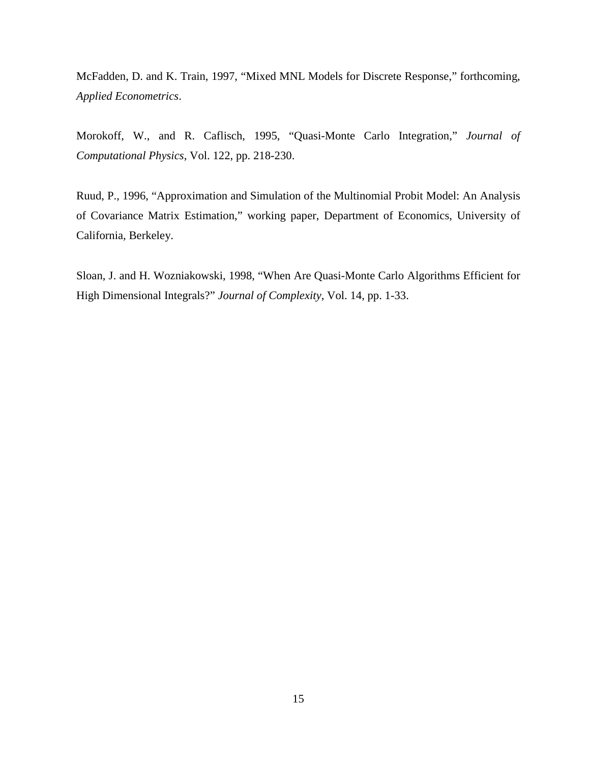McFadden, D. and K. Train, 1997, "Mixed MNL Models for Discrete Response," forthcoming, *Applied Econometrics*.

Morokoff, W., and R. Caflisch, 1995, "Quasi-Monte Carlo Integration," *Journal of Computational Physics*, Vol. 122, pp. 218-230.

Ruud, P., 1996, "Approximation and Simulation of the Multinomial Probit Model: An Analysis of Covariance Matrix Estimation," working paper, Department of Economics, University of California, Berkeley.

Sloan, J. and H. Wozniakowski, 1998, "When Are Quasi-Monte Carlo Algorithms Efficient for High Dimensional Integrals?" *Journal of Complexity*, Vol. 14, pp. 1-33.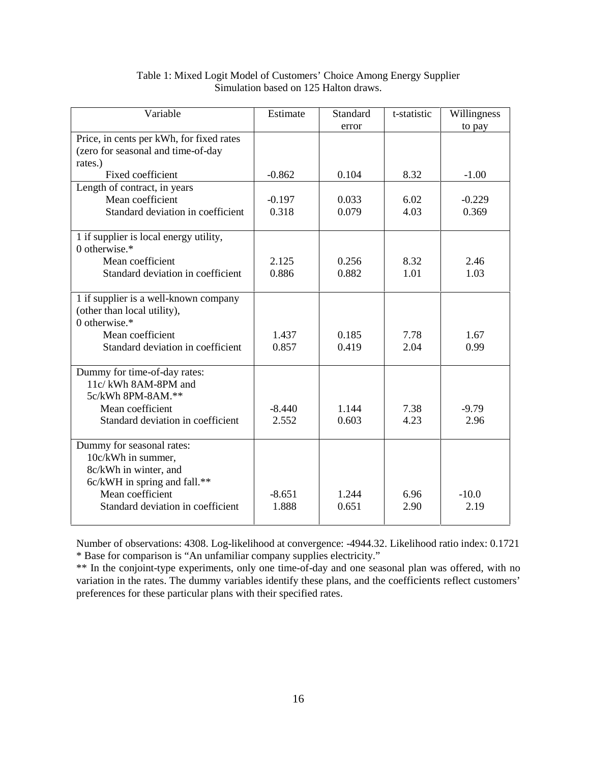| Variable                                                                                                                                                          | Estimate          | Standard       | t-statistic  | Willingness     |
|-------------------------------------------------------------------------------------------------------------------------------------------------------------------|-------------------|----------------|--------------|-----------------|
|                                                                                                                                                                   |                   | error          |              | to pay          |
| Price, in cents per kWh, for fixed rates                                                                                                                          |                   |                |              |                 |
| (zero for seasonal and time-of-day                                                                                                                                |                   |                |              |                 |
| rates.)                                                                                                                                                           |                   |                |              |                 |
| Fixed coefficient                                                                                                                                                 | $-0.862$          | 0.104          | 8.32         | $-1.00$         |
| Length of contract, in years                                                                                                                                      |                   |                |              |                 |
| Mean coefficient                                                                                                                                                  | $-0.197$          | 0.033          | 6.02         | $-0.229$        |
| Standard deviation in coefficient                                                                                                                                 | 0.318             | 0.079          | 4.03         | 0.369           |
| 1 if supplier is local energy utility,<br>0 otherwise. $*$                                                                                                        |                   |                |              |                 |
| Mean coefficient                                                                                                                                                  | 2.125             | 0.256          | 8.32         | 2.46            |
| Standard deviation in coefficient                                                                                                                                 | 0.886             | 0.882          | 1.01         | 1.03            |
| 1 if supplier is a well-known company<br>(other than local utility),<br>0 otherwise. $*$                                                                          |                   |                |              |                 |
| Mean coefficient                                                                                                                                                  | 1.437             | 0.185          | 7.78         | 1.67            |
| Standard deviation in coefficient                                                                                                                                 | 0.857             | 0.419          | 2.04         | 0.99            |
| Dummy for time-of-day rates:<br>11c/kWh 8AM-8PM and<br>5c/kWh 8PM-8AM.**                                                                                          |                   |                |              |                 |
| Mean coefficient                                                                                                                                                  | $-8.440$          | 1.144          | 7.38         | $-9.79$         |
| Standard deviation in coefficient                                                                                                                                 | 2.552             | 0.603          | 4.23         | 2.96            |
| Dummy for seasonal rates:<br>10c/kWh in summer,<br>8c/kWh in winter, and<br>6c/kWH in spring and fall.**<br>Mean coefficient<br>Standard deviation in coefficient | $-8.651$<br>1.888 | 1.244<br>0.651 | 6.96<br>2.90 | $-10.0$<br>2.19 |
|                                                                                                                                                                   |                   |                |              |                 |

# Table 1: Mixed Logit Model of Customers' Choice Among Energy Supplier Simulation based on 125 Halton draws.

Number of observations: 4308. Log-likelihood at convergence: -4944.32. Likelihood ratio index: 0.1721 \* Base for comparison is "An unfamiliar company supplies electricity."

\*\* In the conjoint-type experiments, only one time-of-day and one seasonal plan was offered, with no variation in the rates. The dummy variables identify these plans, and the coefficients reflect customers' preferences for these particular plans with their specified rates.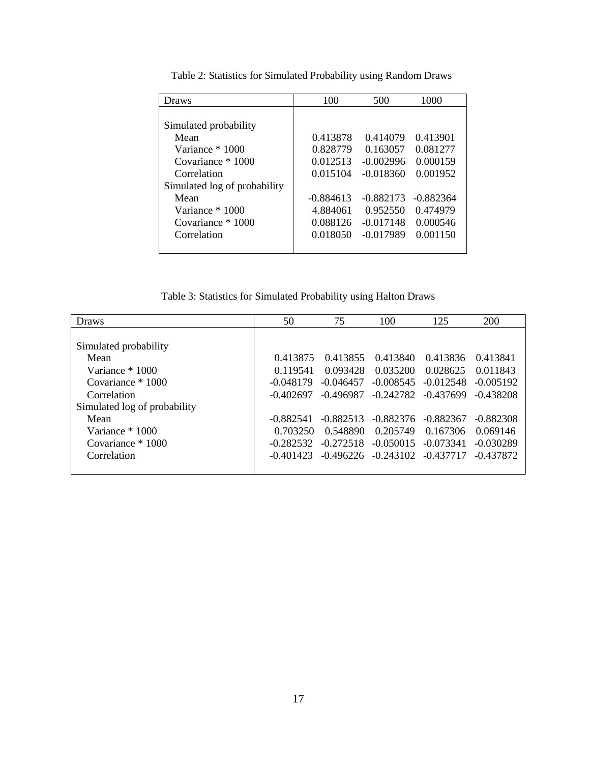| Draws                        | 100         | 500         | 1000        |
|------------------------------|-------------|-------------|-------------|
|                              |             |             |             |
| Simulated probability        |             |             |             |
| Mean                         | 0.413878    | 0.414079    | 0.413901    |
| Variance * 1000              | 0.828779    | 0.163057    | 0.081277    |
| Covariance * 1000            | 0.012513    | $-0.002996$ | 0.000159    |
| Correlation                  | 0.015104    | $-0.018360$ | 0.001952    |
| Simulated log of probability |             |             |             |
| Mean                         | $-0.884613$ | $-0.882173$ | $-0.882364$ |
| Variance * 1000              | 4.884061    | 0.952550    | 0.474979    |
| Covariance * 1000            | 0.088126    | $-0.017148$ | 0.000546    |
| Correlation                  | 0.018050    | $-0.017989$ | 0.001150    |
|                              |             |             |             |

Table 2: Statistics for Simulated Probability using Random Draws

Table 3: Statistics for Simulated Probability using Halton Draws

| <b>Draws</b>                 | 50          | 75          | 100                     | 125         | 200         |
|------------------------------|-------------|-------------|-------------------------|-------------|-------------|
|                              |             |             |                         |             |             |
| Simulated probability        |             |             |                         |             |             |
| Mean                         | 0.413875    | 0.413855    | 0.413840                | 0.413836    | 0.413841    |
| Variance * 1000              | 0.119541    | 0.093428    | 0.035200                | 0.028625    | 0.011843    |
| Covariance $*1000$           | $-0.048179$ | $-0.046457$ | $-0.008545$             | $-0.012548$ | $-0.005192$ |
| Correlation                  | $-0.402697$ | -0.496987   | $-0.242782$             | -0.437699   | $-0.438208$ |
| Simulated log of probability |             |             |                         |             |             |
| Mean                         | $-0.882541$ | $-0.882513$ | $-0.882376$             | -0.882367   | $-0.882308$ |
| Variance * 1000              | 0.703250    | 0.548890    | 0.205749                | 0.167306    | 0.069146    |
| Covariance $*1000$           | $-0.282532$ | $-0.272518$ | $-0.050015$             | $-0.073341$ | $-0.030289$ |
| Correlation                  | $-0.401423$ |             | $-0.496226$ $-0.243102$ | -0.437717   | $-0.437872$ |
|                              |             |             |                         |             |             |